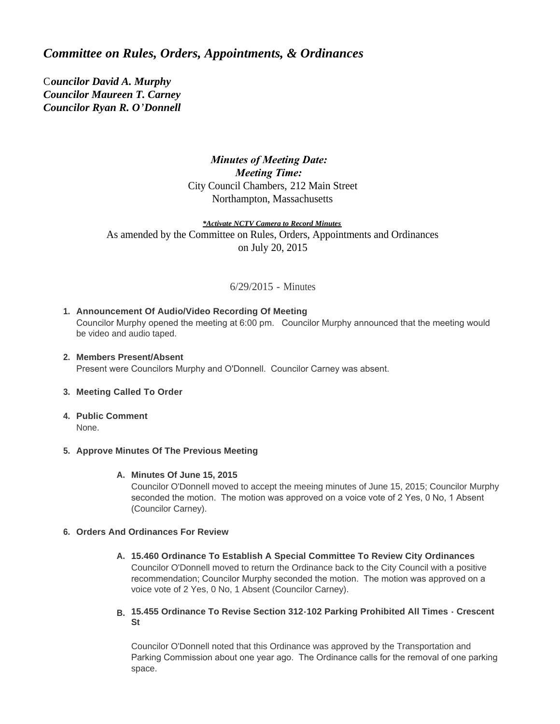# *Committee on Rules, Orders, Appointments, & Ordinances*

C*ouncilor David A. Murphy Councilor Maureen T. Carney Councilor Ryan R. O'Donnell*

## *Minutes of Meeting Date: Meeting Time:*  City Council Chambers, 212 Main Street Northampton, Massachusetts

*\*Activate NCTV Camera to Record Minutes* As amended by the Committee on Rules, Orders, Appointments and Ordinances on July 20, 2015

## 6/29/2015 - Minutes

## **Announcement Of Audio/Video Recording Of Meeting 1.**

Councilor Murphy opened the meeting at 6:00 pm. Councilor Murphy announced that the meeting would be video and audio taped.

#### **Members Present/Absent 2.**

Present were Councilors Murphy and O'Donnell. Councilor Carney was absent.

#### **Meeting Called To Order 3.**

**Public Comment 4.** None.

#### **Approve Minutes Of The Previous Meeting 5.**

#### **Minutes Of June 15, 2015 A.**

Councilor O'Donnell moved to accept the meeing minutes of June 15, 2015; Councilor Murphy seconded the motion. The motion was approved on a voice vote of 2 Yes, 0 No, 1 Absent (Councilor Carney).

#### **Orders And Ordinances For Review 6.**

**15.460 Ordinance To Establish A Special Committee To Review City Ordinances A.** Councilor O'Donnell moved to return the Ordinance back to the City Council with a positive recommendation; Councilor Murphy seconded the motion. The motion was approved on a voice vote of 2 Yes, 0 No, 1 Absent (Councilor Carney).

#### **15.455 Ordinance To Revise Section 312-102 Parking Prohibited All Times - Crescent B. St**

Councilor O'Donnell noted that this Ordinance was approved by the Transportation and Parking Commission about one year ago. The Ordinance calls for the removal of one parking space.